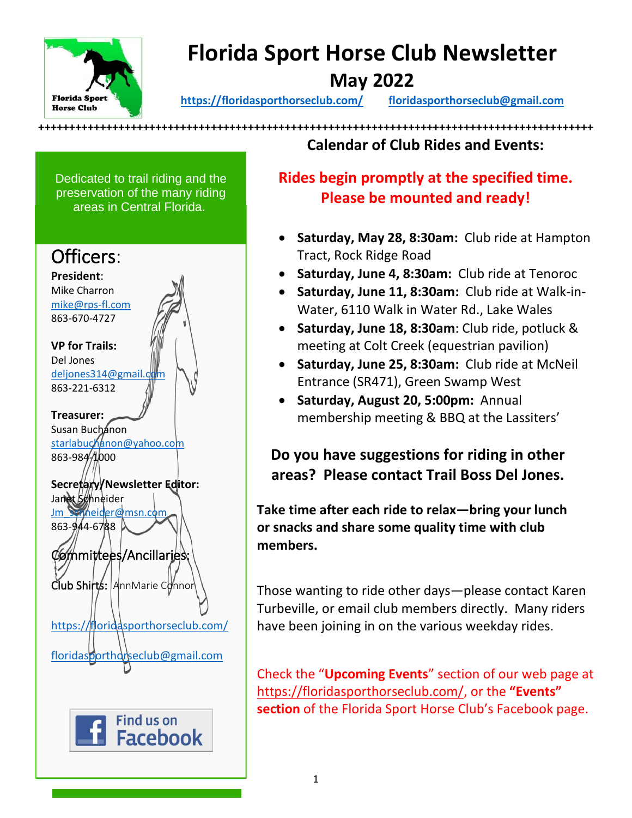

## **Florida Sport Horse Club Newsletter May 2022**

**<https://floridasporthorseclub.com/>[floridasporthorseclub@gmail.com](mailto:floridasporthorseclub@gmail.com)**

Dedicated to trail riding and the preservation of the many riding areas in Central Florida.



**++++++++++++++++++++++++++++++++++++++++++++++++++++++++++++++++++++++++++++++++++++++++++ Calendar of Club Rides and Events:**

> **Rides begin promptly at the specified time. Please be mounted and ready!**

- **Saturday, May 28, 8:30am:** Club ride at Hampton Tract, Rock Ridge Road
- **Saturday, June 4, 8:30am:** Club ride at Tenoroc
- **Saturday, June 11, 8:30am:** Club ride at Walk-in-Water, 6110 Walk in Water Rd., Lake Wales
- **Saturday, June 18, 8:30am**: Club ride, potluck & meeting at Colt Creek (equestrian pavilion)
- **Saturday, June 25, 8:30am:** Club ride at McNeil Entrance (SR471), Green Swamp West
- **Saturday, August 20, 5:00pm:** Annual membership meeting & BBQ at the Lassiters'

**Do you have suggestions for riding in other areas? Please contact Trail Boss Del Jones.**

**Take time after each ride to relax—bring your lunch or snacks and share some quality time with club members.**

Those wanting to ride other days—please contact Karen Turbeville, or email club members directly. Many riders have been joining in on the various weekday rides.

Check the "**Upcoming Events**" section of our web page at [https://floridasporthorseclub.com/,](https://floridasporthorseclub.com/) or the **"Events" section** of the Florida Sport Horse Club's Facebook page.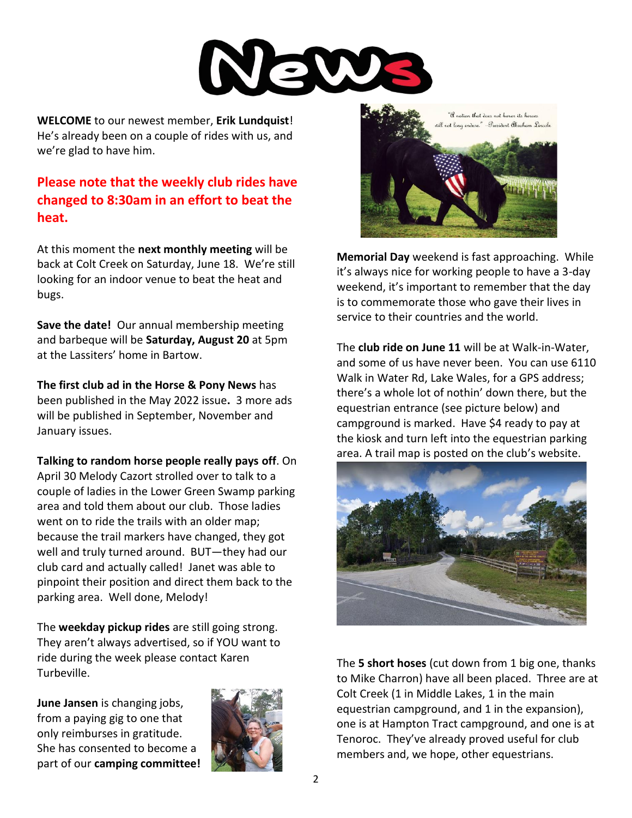

**WELCOME** to our newest member, **Erik Lundquist**! He's already been on a couple of rides with us, and we're glad to have him.

**Please note that the weekly club rides have changed to 8:30am in an effort to beat the heat.**

At this moment the **next monthly meeting** will be back at Colt Creek on Saturday, June 18. We're still looking for an indoor venue to beat the heat and bugs.

**Save the date!** Our annual membership meeting and barbeque will be **Saturday, August 20** at 5pm at the Lassiters' home in Bartow.

**The first club ad in the Horse & Pony News** has been published in the May 2022 issue**.** 3 more ads will be published in September, November and January issues.

**Talking to random horse people really pays off**. On April 30 Melody Cazort strolled over to talk to a couple of ladies in the Lower Green Swamp parking area and told them about our club. Those ladies went on to ride the trails with an older map; because the trail markers have changed, they got well and truly turned around. BUT—they had our club card and actually called! Janet was able to pinpoint their position and direct them back to the parking area. Well done, Melody!

The **weekday pickup rides** are still going strong. They aren't always advertised, so if YOU want to ride during the week please contact Karen Turbeville.

**June Jansen** is changing jobs, from a paying gig to one that only reimburses in gratitude. She has consented to become a part of our **camping committee!**





**Memorial Day** weekend is fast approaching. While it's always nice for working people to have a 3-day weekend, it's important to remember that the day is to commemorate those who gave their lives in service to their countries and the world.

The **club ride on June 11** will be at Walk-in-Water, and some of us have never been. You can use 6110 Walk in Water Rd, Lake Wales, for a GPS address; there's a whole lot of nothin' down there, but the equestrian entrance (see picture below) and campground is marked. Have \$4 ready to pay at the kiosk and turn left into the equestrian parking area. A trail map is posted on the club's website.



The **5 short hoses** (cut down from 1 big one, thanks to Mike Charron) have all been placed. Three are at Colt Creek (1 in Middle Lakes, 1 in the main equestrian campground, and 1 in the expansion), one is at Hampton Tract campground, and one is at Tenoroc. They've already proved useful for club members and, we hope, other equestrians.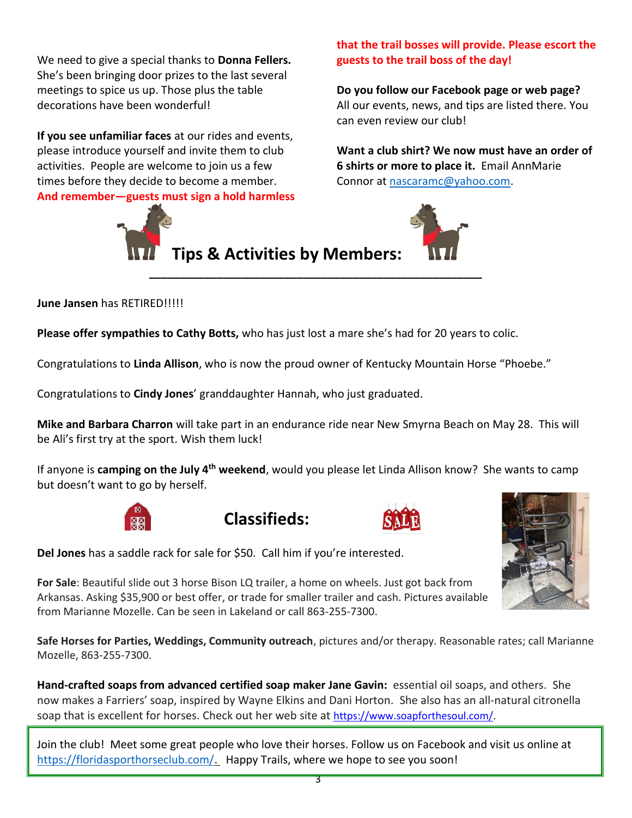We need to give a special thanks to **Donna Fellers.** She's been bringing door prizes to the last several meetings to spice us up. Those plus the table decorations have been wonderful!

**If you see unfamiliar faces** at our rides and events, please introduce yourself and invite them to club activities. People are welcome to join us a few times before they decide to become a member. **And remember—guests must sign a hold harmless**



**that the trail bosses will provide. Please escort the guests to the trail boss of the day!**

**Do you follow our Facebook page or web page?** All our events, news, and tips are listed there. You can even review our club!

**Want a club shirt? We now must have an order of 6 shirts or more to place it.** Email AnnMarie Connor at [nascaramc@yahoo.com.](mailto:nascaramc@yahoo.com)



## **June Jansen** has RETIRED!!!!!

**Please offer sympathies to Cathy Botts,** who has just lost a mare she's had for 20 years to colic.

Congratulations to **Linda Allison**, who is now the proud owner of Kentucky Mountain Horse "Phoebe."

Congratulations to **Cindy Jones**' granddaughter Hannah, who just graduated.

**Mike and Barbara Charron** will take part in an endurance ride near New Smyrna Beach on May 28. This will be Ali's first try at the sport. Wish them luck!

**\_\_\_\_\_\_\_\_\_\_\_\_\_\_\_\_\_\_\_\_\_\_\_\_\_\_\_\_\_\_\_\_\_\_\_\_\_\_\_\_\_\_\_\_\_\_\_\_\_\_\_\_\_\_**

If anyone is **camping on the July 4th weekend**, would you please let Linda Allison know? She wants to camp but doesn't want to go by herself.









**Del Jones** has a saddle rack for sale for \$50. Call him if you're interested.

**For Sale**: Beautiful slide out 3 horse Bison LQ trailer, a home on wheels. Just got back from Arkansas. Asking \$35,900 or best offer, or trade for smaller trailer and cash. Pictures available from Marianne Mozelle. Can be seen in Lakeland or call 863-255-7300.

**Safe Horses for Parties, Weddings, Community outreach**, pictures and/or therapy. Reasonable rates; call Marianne Mozelle, 863-255-7300.

**Hand-crafted soaps from advanced certified soap maker Jane Gavin:** essential oil soaps, and others. She now makes a Farriers' soap, inspired by Wayne Elkins and Dani Horton. She also has an all-natural citronella soap that is excellent for horses. Check out her web site at [https://www.soapforthesoul.com/.](https://www.soapforthesoul.com/)

Join the club! Meet some great people who love their horses. Follow us on Facebook and visit us online at [https://floridasporthorseclub.com/.](https://floridasporthorseclub.com/) Happy Trails, where we hope to see you soon!